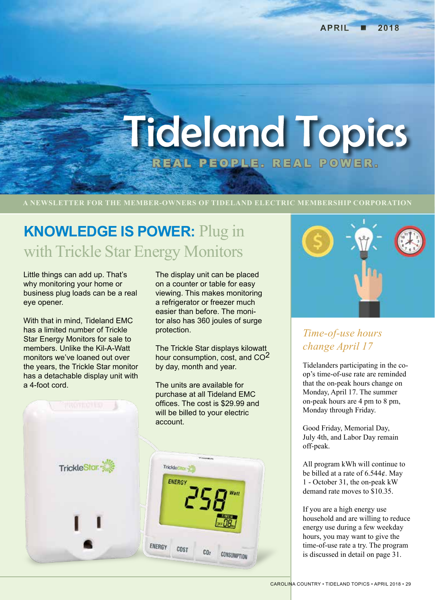# **Tideland Topics** REAL PEOPLE. REAL POWER .

### **A NEWSLETTER FOR THE MEMBER-OWNERS OF TIDELAND ELECTRIC MEMBERSHIP CORPORATION**

# **KNOWLEDGE IS POWER:** Plug in with Trickle Star Energy Monitors

Little things can add up. That's why monitoring your home or business plug loads can be a real eye opener.

With that in mind, Tideland EMC has a limited number of Trickle Star Energy Monitors for sale to members. Unlike the Kil-A-Watt monitors we've loaned out over the years, the Trickle Star monitor has a detachable display unit with a 4-foot cord.

The display unit can be placed on a counter or table for easy viewing. This makes monitoring a refrigerator or freezer much easier than before. The monitor also has 360 joules of surge protection.

The Trickle Star displays kilowatt hour consumption, cost, and CO<sup>2</sup> by day, month and year.

The units are available for purchase at all Tideland EMC offices. The cost is \$29.99 and **PROTECTED** will be billed to your electric account. TrickleStar TrickleSto **ENERGY** 

ENERGY

COST

CO<sub>2</sub>

CONSUMPTION



### *Time-of-use hours change April 17*

Tidelanders participating in the coop's time-of-use rate are reminded that the on-peak hours change on Monday, April 17. The summer on-peak hours are 4 pm to 8 pm, Monday through Friday.

Good Friday, Memorial Day, July 4th, and Labor Day remain off-peak.

All program kWh will continue to be billed at a rate of 6.544¢. May 1 - October 31, the on-peak kW demand rate moves to \$10.35.

If you are a high energy use household and are willing to reduce energy use during a few weekday hours, you may want to give the time-of-use rate a try. The program is discussed in detail on page 31.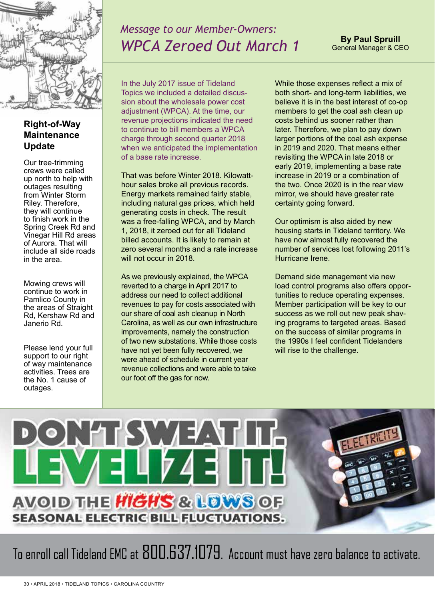

# *Message to our Member-Owners: WPCA Zeroed Out March 1*

**By Paul Spruill** General Manager & CEO

### **Right-of-Way Maintenance Update**

Our tree-trimming crews were called up north to help with outages resulting from Winter Storm Riley. Therefore, they will continue to finish work in the Spring Creek Rd and Vinegar Hill Rd areas of Aurora. That will include all side roads in the area.

Mowing crews will continue to work in Pamlico County in the areas of Straight Rd, Kershaw Rd and Janerio Rd.

Please lend your full support to our right of way maintenance activities. Trees are the No. 1 cause of outages.

In the July 2017 issue of Tideland Topics we included a detailed discussion about the wholesale power cost adjustment (WPCA). At the time, our revenue projections indicated the need to continue to bill members a WPCA charge through second quarter 2018 when we anticipated the implementation of a base rate increase.

That was before Winter 2018. Kilowatthour sales broke all previous records. Energy markets remained fairly stable, including natural gas prices, which held generating costs in check. The result was a free-falling WPCA, and by March 1, 2018, it zeroed out for all Tideland billed accounts. It is likely to remain at zero several months and a rate increase will not occur in 2018.

As we previously explained, the WPCA reverted to a charge in April 2017 to address our need to collect additional revenues to pay for costs associated with our share of coal ash cleanup in North Carolina, as well as our own infrastructure improvements, namely the construction of two new substations. While those costs have not yet been fully recovered, we were ahead of schedule in current year revenue collections and were able to take our foot off the gas for now.

While those expenses reflect a mix of both short- and long-term liabilities, we believe it is in the best interest of co-op members to get the coal ash clean up costs behind us sooner rather than later. Therefore, we plan to pay down larger portions of the coal ash expense in 2019 and 2020. That means either revisiting the WPCA in late 2018 or early 2019, implementing a base rate increase in 2019 or a combination of the two. Once 2020 is in the rear view mirror, we should have greater rate certainty going forward.

Our optimism is also aided by new housing starts in Tideland territory. We have now almost fully recovered the number of services lost following 2011's Hurricane Irene.

Demand side management via new load control programs also offers opportunities to reduce operating expenses. Member participation will be key to our success as we roll out new peak shaving programs to targeted areas. Based on the success of similar programs in the 1990s I feel confident Tidelanders will rise to the challenge.



To enroll call Tideland EMC at 800.637.1079. Account must have zero balance to activate.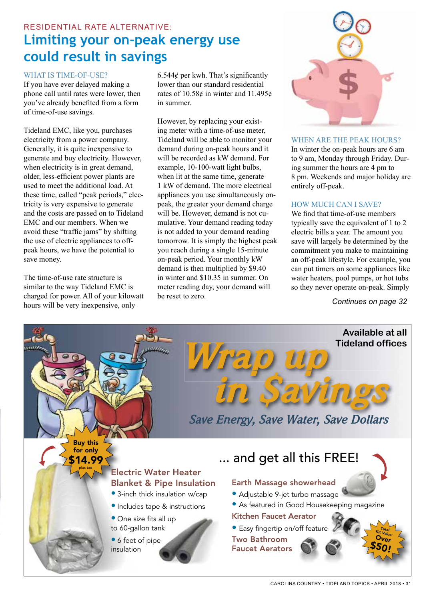### RESIDENTIAL RATE ALTERNATIVE: **Limiting your on-peak energy use could result in savings**

#### WHAT IS TIME-OF-USE?

If you have ever delayed making a phone call until rates were lower, then you've already benefited from a form of time-of-use savings.

Tideland EMC, like you, purchases electricity from a power company. Generally, it is quite inexpensive to generate and buy electricity. However, when electricity is in great demand, older, less-efficient power plants are used to meet the additional load. At these time, called "peak periods," electricity is very expensive to generate and the costs are passed on to Tideland EMC and our members. When we avoid these "traffic jams" by shifting the use of electric appliances to offpeak hours, we have the potential to save money.

The time-of-use rate structure is similar to the way Tideland EMC is charged for power. All of your kilowatt hours will be very inexpensive, only

6.544 $\phi$  per kwh. That's significantly lower than our standard residential rates of 10.58¢ in winter and 11.495¢ in summer.

However, by replacing your existing meter with a time-of-use meter, Tideland will be able to monitor your demand during on-peak hours and it will be recorded as kW demand. For example, 10-100-watt light bulbs, when lit at the same time, generate 1 kW of demand. The more electrical appliances you use simultaneously onpeak, the greater your demand charge will be. However, demand is not cumulative. Your demand reading today is not added to your demand reading tomorrow. It is simply the highest peak you reach during a single 15-minute on-peak period. Your monthly kW demand is then multiplied by \$9.40 in winter and \$10.35 in summer. On meter reading day, your demand will be reset to zero.



### WHEN ARE THE PEAK HOURS?

In winter the on-peak hours are 6 am to 9 am, Monday through Friday. During summer the hours are 4 pm to 8 pm. Weekends and major holiday are entirely off-peak.

### HOW MUCH CAN I SAVE?

We find that time-of-use members typically save the equivalent of 1 to 2 electric bills a year. The amount you save will largely be determined by the commitment you make to maintaining an off-peak lifestyle. For example, you can put timers on some appliances like water heaters, pool pumps, or hot tubs so they never operate on-peak. Simply

*Continues on page 32*